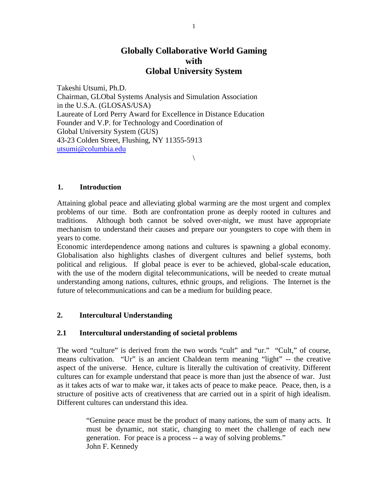# **Globally Collaborative World Gaming with Global University System**

Takeshi Utsumi, Ph.D. Chairman, GLObal Systems Analysis and Simulation Association in the U.S.A. (GLOSAS/USA) Laureate of Lord Perry Award for Excellence in Distance Education Founder and V.P. for Technology and Coordination of Global University System (GUS) 43-23 Colden Street, Flushing, NY 11355-5913 [utsumi@columbia.edu](mailto:utsumi@columbia.edu)

# **1. Introduction**

Attaining global peace and alleviating global warming are the most urgent and complex problems of our time. Both are confrontation prone as deeply rooted in cultures and traditions. Although both cannot be solved over-night, we must have appropriate mechanism to understand their causes and prepare our youngsters to cope with them in years to come.

 $\setminus$ 

Economic interdependence among nations and cultures is spawning a global economy. Globalisation also highlights clashes of divergent cultures and belief systems, both political and religious. If global peace is ever to be achieved, global-scale education, with the use of the modern digital telecommunications, will be needed to create mutual understanding among nations, cultures, ethnic groups, and religions. The Internet is the future of telecommunications and can be a medium for building peace.

# **2. Intercultural Understanding**

# **2.1 Intercultural understanding of societal problems**

The word "culture" is derived from the two words "cult" and "ur." "Cult," of course, means cultivation. "Ur" is an ancient Chaldean term meaning "light" -- the creative aspect of the universe. Hence, culture is literally the cultivation of creativity. Different cultures can for example understand that peace is more than just the absence of war. Just as it takes acts of war to make war, it takes acts of peace to make peace. Peace, then, is a structure of positive acts of creativeness that are carried out in a spirit of high idealism. Different cultures can understand this idea.

> "Genuine peace must be the product of many nations, the sum of many acts. It must be dynamic, not static, changing to meet the challenge of each new generation. For peace is a process -- a way of solving problems." John F. Kennedy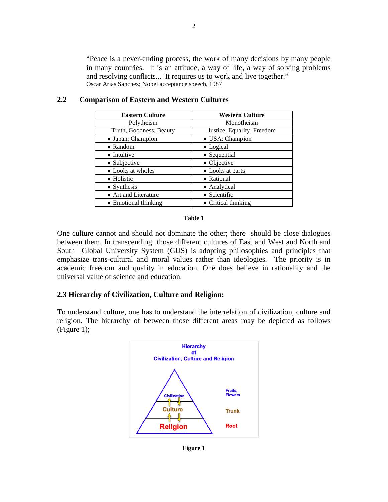"Peace is a never-ending process, the work of many decisions by many people in many countries. It is an attitude, a way of life, a way of solving problems and resolving conflicts... It requires us to work and live together." Oscar Arias Sanchez; Nobel acceptance speech, 1987

| <b>Eastern Culture</b>  | <b>Western Culture</b>     |  |
|-------------------------|----------------------------|--|
| Polytheism              | Monotheism                 |  |
| Truth, Goodness, Beauty | Justice, Equality, Freedom |  |
| • Japan: Champion       | • USA: Champion            |  |
| $\bullet$ Random        | • Logical                  |  |
| • Intuitive             | • Sequential               |  |
| • Subjective            | • Objective                |  |
| • Looks at wholes       | • Looks at parts           |  |
| • Holistic              | • Rational                 |  |
| • Synthesis             | • Analytical               |  |
| • Art and Literature    | • Scientific               |  |
| • Emotional thinking    | • Critical thinking        |  |

# **2.2 Comparison of Eastern and Western Cultures**

#### **Table 1**

One culture cannot and should not dominate the other; there should be close dialogues between them. In transcending those different cultures of East and West and North and South Global University System (GUS) is adopting philosophies and principles that emphasize trans-cultural and moral values rather than ideologies. The priority is in academic freedom and quality in education. One does believe in rationality and the universal value of science and education.

# **2.3 Hierarchy of Civilization, Culture and Religion:**

To understand culture, one has to understand the interrelation of civilization, culture and religion. The hierarchy of between those different areas may be depicted as follows (Figure 1);



**Figure 1**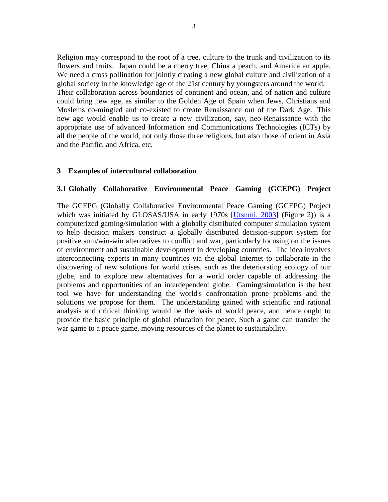Religion may correspond to the root of a tree, culture to the trunk and civilization to its flowers and fruits. Japan could be a cherry tree, China a peach, and America an apple. We need a cross pollination for jointly creating a new global culture and civilization of a global society in the knowledge age of the 21st century by youngsters around the world. Their collaboration across boundaries of continent and ocean, and of nation and culture could bring new age, as similar to the Golden Age of Spain when Jews, Christians and Moslems co-mingled and co-existed to create Renaissance out of the Dark Age. This new age would enable us to create a new civilization, say, neo-Renaissance with the appropriate use of advanced Information and Communications Technologies (ICTs) by all the people of the world, not only those three religions, but also those of orient in Asia and the Pacific, and Africa, etc.

## **3 Examples of intercultural collaboration**

# **3.1 Globally Collaborative Environmental Peace Gaming (GCEPG) Project**

The GCEPG (Globally Collaborative Environmental Peace Gaming (GCEPG) Project which was initiated by GLOSAS/USA in early 1970s [\[Utsumi, 2003\]](#page-12-0) (Figure 2)) is a computerized gaming/simulation with a globally distributed computer simulation system to help decision makers construct a globally distributed decision-support system for positive sum/win-win alternatives to conflict and war, particularly focusing on the issues of environment and sustainable development in developing countries. The idea involves interconnecting experts in many countries via the global Internet to collaborate in the discovering of new solutions for world crises, such as the deteriorating ecology of our globe, and to explore new alternatives for a world order capable of addressing the problems and opportunities of an interdependent globe. Gaming/simulation is the best tool we have for understanding the world's confrontation prone problems and the solutions we propose for them. The understanding gained with scientific and rational analysis and critical thinking would be the basis of world peace, and hence ought to provide the basic principle of global education for peace. Such a game can transfer the war game to a peace game, moving resources of the planet to sustainability.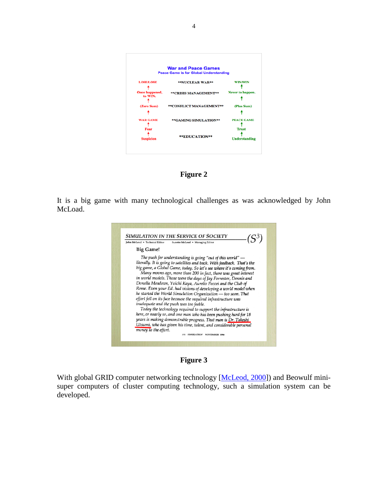| <b>War and Peace Games</b><br><b>Peace Game is for Global Understanding</b> |                         |                            |
|-----------------------------------------------------------------------------|-------------------------|----------------------------|
| <b>LOSE/LOSE</b>                                                            | **NUCLEAR WAR**         | <b>WIN/WIN</b>             |
| Once happened,<br>to WIN.                                                   | **CRISIS MANAGEMENT**   | Never to happen.           |
| (Zero Sum)                                                                  | **CONFLICT MANAGEMENT** | (Plus Sum)                 |
| <b>WAR GAME</b><br>Fear                                                     | **GAMING SIMULATION**   | PEACE GAME<br><b>Trust</b> |
| <b>Suspicion</b>                                                            | **EDUCATION**           | <b>Understanding</b>       |

# **Figure 2**

It is a big game with many technological challenges as was acknowledged by John McLoad.



**Figure 3**

With global GRID computer networking technology [\[McLeod, 2000\]](#page-11-0)) and Beowulf minisuper computers of cluster computing technology, such a simulation system can be developed.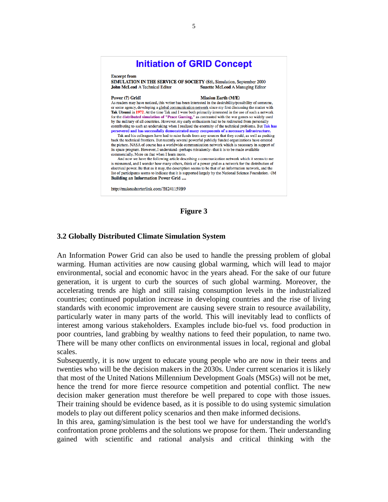# **Initiation of GRID Concept**

#### **Excerpt from**

SIMULATION IN THE SERVICE OF SOCIETY (S3), Simulation, September 2000 **John McLeod A Technical Editor Suzette McLeod A Managing Editor** 

#### Power (?) Grid!

#### **Mission Earth (M/E)**

As readers may have noticed, this writer has been interested in the desirability/possibility of someone, or some agency, developing a global communication network since my first discussing the matter with Tak Utsumi in 1972. At the time Tak and I were both primarily interested in the use of such a network for the distributed simulation of "Peace Gaming," as contrasted with the war games so widely used by the military of all countries. However, my early enthusiasm had to be redirected from personally contributing to such an undertaking when I realized the enormity of the technical problems. But Tak has persevered and has successfully demonstrated many components of a necessary infrastructure. Tak and his colleagues have had to raise funds from any sources that they could, as well as pushing back the technical frontiers. But recently several powerful publicly funded organizations have entered

the picture. NASA of course has a worldwide communication network which is necessary in support of its space program. However, I understand--perhaps mistakenly--that it is to be made available commercially. More on that when I learn more.

And now we have the following article describing a communication network which it seems to me is misnamed, and I wonder how many others, think of a power grid as a network for the distribution of electrical power. Be that as it may, the description seems to be that of an information network, and the list of participants seems to indicate that it is supported largely by the National Science Foundation. - JM **Building an Information Power Grid ....** 

http://makeashorterlink.com/?H241159B9

#### **Figure 3**

## **3.2 Globally Distributed Climate Simulation System**

An Information Power Grid can also be used to handle the pressing problem of global warming. Human activities are now causing global warming, which will lead to major environmental, social and economic havoc in the years ahead. For the sake of our future generation, it is urgent to curb the sources of such global warming. Moreover, the accelerating trends are high and still raising consumption levels in the industrialized countries; continued population increase in developing countries and the rise of living standards with economic improvement are causing severe strain to resource availability, particularly water in many parts of the world. This will inevitably lead to conflicts of interest among various stakeholders. Examples include bio-fuel vs. food production in poor countries, land grabbing by wealthy nations to feed their population, to name two. There will be many other conflicts on environmental issues in local, regional and global scales.

Subsequently, it is now urgent to educate young people who are now in their teens and twenties who will be the decision makers in the 2030s. Under current scenarios it is likely that most of the United Nations Millennium Development Goals (MSGs) will not be met, hence the trend for more fierce resource competition and potential conflict. The new decision maker generation must therefore be well prepared to cope with those issues. Their training should be evidence based, as it is possible to do using systemic simulation models to play out different policy scenarios and then make informed decisions.

In this area, gaming/simulation is the best tool we have for understanding the world's confrontation prone problems and the solutions we propose for them. Their understanding gained with scientific and rational analysis and critical thinking with the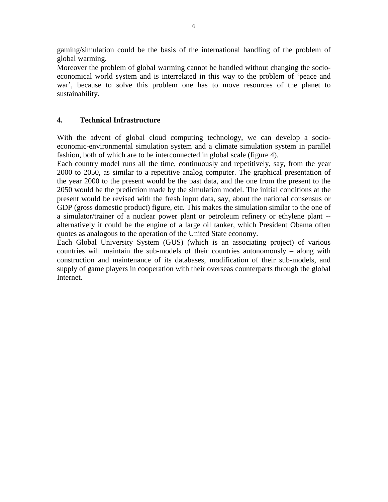gaming/simulation could be the basis of the international handling of the problem of global warming.

Moreover the problem of global warming cannot be handled without changing the socioeconomical world system and is interrelated in this way to the problem of 'peace and war', because to solve this problem one has to move resources of the planet to sustainability.

# **4. Technical Infrastructure**

With the advent of global cloud computing technology, we can develop a socioeconomic-environmental simulation system and a climate simulation system in parallel fashion, both of which are to be interconnected in global scale (figure 4).

Each country model runs all the time, continuously and repetitively, say, from the year 2000 to 2050, as similar to a repetitive analog computer. The graphical presentation of the year 2000 to the present would be the past data, and the one from the present to the 2050 would be the prediction made by the simulation model. The initial conditions at the present would be revised with the fresh input data, say, about the national consensus or GDP (gross domestic product) figure, etc. This makes the simulation similar to the one of a simulator/trainer of a nuclear power plant or petroleum refinery or ethylene plant - alternatively it could be the engine of a large oil tanker, which President Obama often quotes as analogous to the operation of the United State economy.

Each Global University System (GUS) (which is an associating project) of various countries will maintain the sub-models of their countries autonomously – along with construction and maintenance of its databases, modification of their sub-models, and supply of game players in cooperation with their overseas counterparts through the global Internet.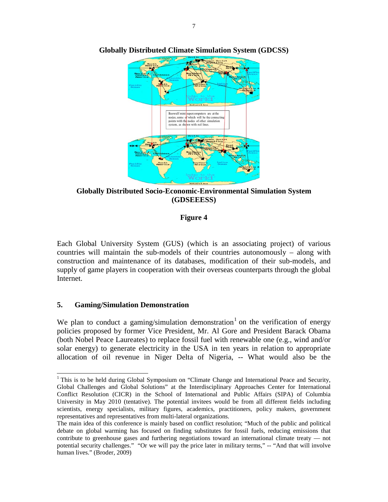

**Globally Distributed Climate Simulation System (GDCSS)**

**Globally Distributed Socio-Economic-Environmental Simulation System (GDSEEESS)**

# **Figure 4**

Each Global University System (GUS) (which is an associating project) of various countries will maintain the sub-models of their countries autonomously – along with construction and maintenance of its databases, modification of their sub-models, and supply of game players in cooperation with their overseas counterparts through the global Internet.

# **5. Gaming/Simulation Demonstration**

We plan to conduct a gaming/simulation demonstration  $1$  on the verification of energy policies proposed by former Vice President, Mr. Al Gore and President Barack Obama (both Nobel Peace Laureates) to replace fossil fuel with renewable one (e.g., wind and/or solar energy) to generate electricity in the USA in ten years in relation to appropriate allocation of oil revenue in Niger Delta of Nigeria, -- What would also be the

<span id="page-6-0"></span><sup>&</sup>lt;sup>1</sup> This is to be held during Global Symposium on "Climate Change and International Peace and Security, Global Challenges and Global Solutions" at the Interdisciplinary Approaches Center for International Conflict Resolution (CICR) in the School of International and Public Affairs (SIPA) of Columbia University in May 2010 (tentative). The potential invitees would be from all different fields including scientists, energy specialists, military figures, academics, practitioners, policy makers, government representatives and representatives from multi-lateral organizations.

The main idea of this conference is mainly based on conflict resolution; "Much of the public and political debate on global warming has focused on finding substitutes for fossil fuels, reducing emissions that contribute to greenhouse gases and furthering negotiations toward an international climate treaty — not potential security challenges." "Or we will pay the price later in military terms," -- "And that will involve human lives." (Broder, 2009)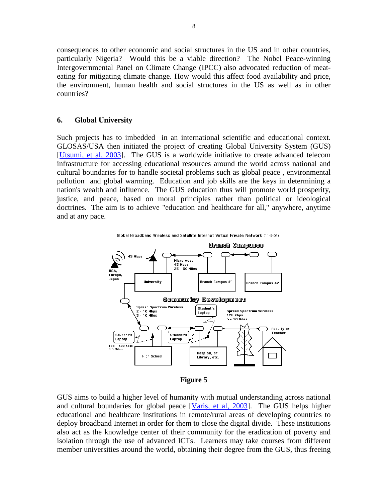consequences to other economic and social structures in the US and in other countries, particularly Nigeria? Would this be a viable direction? The Nobel Peace-winning Intergovernmental Panel on Climate Change (IPCC) also advocated reduction of meateating for mitigating climate change. How would this affect food availability and price, the environment, human health and social structures in the US as well as in other countries?

## **6. Global University**

Such projects has to imbedded in an international scientific and educational context. GLOSAS/USA then initiated the project of creating Global University System (GUS) [\[Utsumi, et al, 2003\]](#page-12-1). The GUS is a worldwide initiative to create advanced telecom infrastructure for accessing educational resources around the world across national and cultural boundaries for to handle societal problems such as global peace , environmental pollution and global warming. Education and job skills are the keys in determining a nation's wealth and influence. The GUS education thus will promote world prosperity, justice, and peace, based on moral principles rather than political or ideological doctrines. The aim is to achieve "education and healthcare for all," anywhere, anytime and at any pace.



Global Broadband Wireless and Satellite Internet Virtual Private Network (11-9-02)

**Figure 5**

GUS aims to build a higher level of humanity with mutual understanding across national and cultural boundaries for global peace [\[Varis, et al, 2003\]](#page-12-2). The GUS helps higher educational and healthcare institutions in remote/rural areas of developing countries to deploy broadband Internet in order for them to close the digital divide. These institutions also act as the knowledge center of their community for the eradication of poverty and isolation through the use of advanced ICTs. Learners may take courses from different member universities around the world, obtaining their degree from the GUS, thus freeing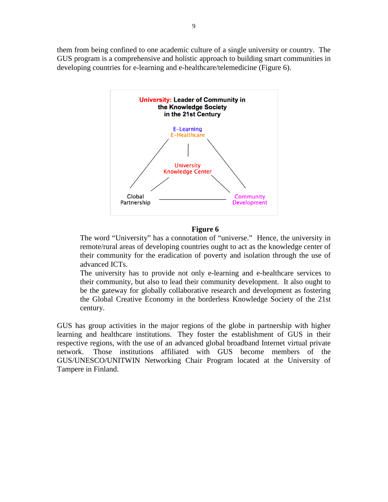them from being confined to one academic culture of a single university or country. The GUS program is a comprehensive and holistic approach to building smart communities in developing countries for e-learning and e-healthcare/telemedicine (Figure 6).



## **Figure 6**

The word "University" has a connotation of "universe." Hence, the university in remote/rural areas of developing countries ought to act as the knowledge center of their community for the eradication of poverty and isolation through the use of advanced ICTs.

The university has to provide not only e-learning and e-healthcare services to their community, but also to lead their community development. It also ought to be the gateway for globally collaborative research and development as fostering the Global Creative Economy in the borderless Knowledge Society of the 21st century.

GUS has group activities in the major regions of the globe in partnership with higher learning and healthcare institutions. They foster the establishment of GUS in their respective regions, with the use of an advanced global broadband Internet virtual private network. Those institutions affiliated with GUS become members of the GUS/UNESCO/UNITWIN Networking Chair Program located at the University of Tampere in Finland.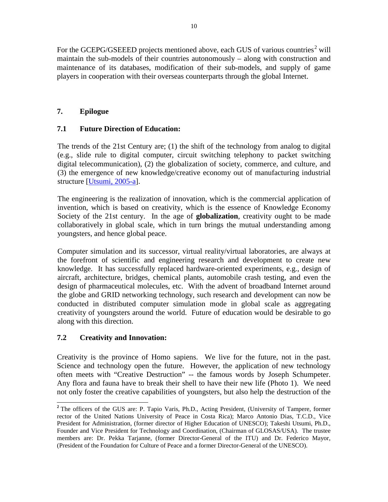For the GCEPG/GSEEED projects mentioned above, each GUS of various countries<sup>[2](#page-9-0)</sup> will maintain the sub-models of their countries autonomously – along with construction and maintenance of its databases, modification of their sub-models, and supply of game players in cooperation with their overseas counterparts through the global Internet.

# **7. Epilogue**

# **7.1 Future Direction of Education:**

The trends of the 21st Century are; (1) the shift of the technology from analog to digital (e.g., slide rule to digital computer, circuit switching telephony to packet switching digital telecommunication), (2) the globalization of society, commerce, and culture, and (3) the emergence of new knowledge/creative economy out of manufacturing industrial structure [\[Utsumi, 2005-a\]](#page-12-3).

The engineering is the realization of innovation, which is the commercial application of invention, which is based on creativity, which is the essence of Knowledge Economy Society of the 21st century. In the age of **globalization**, creativity ought to be made collaboratively in global scale, which in turn brings the mutual understanding among youngsters, and hence global peace.

Computer simulation and its successor, virtual reality/virtual laboratories, are always at the forefront of scientific and engineering research and development to create new knowledge. It has successfully replaced hardware-oriented experiments, e.g., design of aircraft, architecture, bridges, chemical plants, automobile crash testing, and even the design of pharmaceutical molecules, etc. With the advent of broadband Internet around the globe and GRID networking technology, such research and development can now be conducted in distributed computer simulation mode in global scale as aggregating creativity of youngsters around the world. Future of education would be desirable to go along with this direction.

# **7.2 Creativity and Innovation:**

Creativity is the province of Homo sapiens. We live for the future, not in the past. Science and technology open the future. However, the application of new technology often meets with "Creative Destruction" -- the famous words by Joseph Schumpeter. Any flora and fauna have to break their shell to have their new life (Photo 1). We need not only foster the creative capabilities of youngsters, but also help the destruction of the

<span id="page-9-0"></span>**<sup>2</sup>** The officers of the GUS are: P. Tapio Varis, Ph.D., Acting President, (University of Tampere, former rector of the United Nations University of Peace in Costa Rica); Marco Antonio Dias, T.C.D., Vice President for Administration, (former director of Higher Education of UNESCO); Takeshi Utsumi, Ph.D., Founder and Vice President for Technology and Coordination, (Chairman of GLOSAS/USA). The trustee members are: Dr. Pekka Tarjanne, (former Director-General of the ITU) and Dr. Federico Mayor, (President of the Foundation for Culture of Peace and a former Director-General of the UNESCO).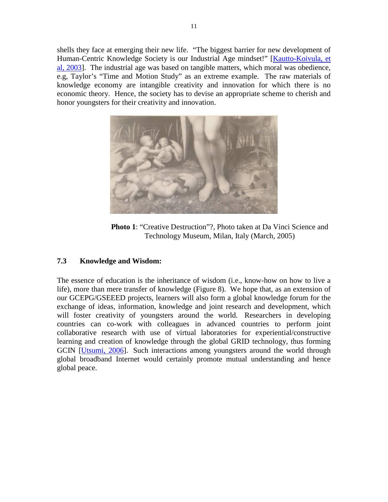shells they face at emerging their new life. "The biggest barrier for new development of Human-Centric Knowledge Society is our Industrial Age mindset!" [\[Kautto-Koivula, et](#page-11-1)  [al, 2003\]](#page-11-1). The industrial age was based on tangible matters, which moral was obedience, e.g, Taylor's "Time and Motion Study" as an extreme example. The raw materials of knowledge economy are intangible creativity and innovation for which there is no economic theory. Hence, the society has to devise an appropriate scheme to cherish and honor youngsters for their creativity and innovation.



**Photo 1**: "Creative Destruction"?, Photo taken at Da Vinci Science and Technology Museum, Milan, Italy (March, 2005)

# **7.3 Knowledge and Wisdom:**

The essence of education is the inheritance of wisdom (i.e., know-how on how to live a life), more than mere transfer of knowledge (Figure 8). We hope that, as an extension of our GCEPG/GSEEED projects, learners will also form a global knowledge forum for the exchange of ideas, information, knowledge and joint research and development, which will foster creativity of youngsters around the world. Researchers in developing countries can co-work with colleagues in advanced countries to perform joint collaborative research with use of virtual laboratories for experiential/constructive learning and creation of knowledge through the global GRID technology, thus forming GCIN [\[Utsumi, 2006\]](#page-12-4). Such interactions among youngsters around the world through global broadband Internet would certainly promote mutual understanding and hence global peace.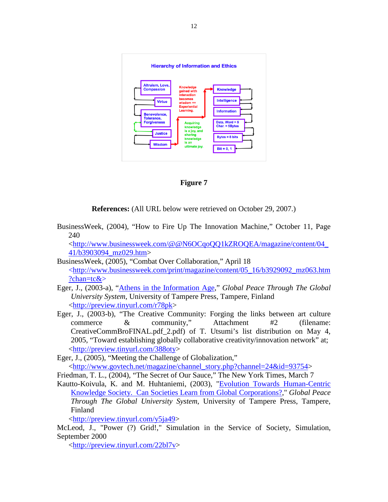

**Figure 7**

**References:** (All URL below were retrieved on October 29, 2007.)

BusinessWeek, (2004), "How to Fire Up The Innovation Machine," October 11, Page 240

[<http://www.businessweek.com/@@N6OCqoQQ1kZROQEA/magazine/content/04\\_](http://www.businessweek.com/@@N6OCqoQQ1kZROQEA/magazine/content/04_41/b3903094_mz029.htm) [41/b3903094\\_mz029.htm>](http://www.businessweek.com/@@N6OCqoQQ1kZROQEA/magazine/content/04_41/b3903094_mz029.htm)

- BusinessWeek, (2005), "Combat Over Collaboration," April 18 [<http://www.businessweek.com/print/magazine/content/05\\_16/b3929092\\_mz063.htm](http://www.businessweek.com/print/magazine/content/05_16/b3929092_mz063.htm?chan=tc&) [?chan=tc&>](http://www.businessweek.com/print/magazine/content/05_16/b3929092_mz063.htm?chan=tc&)
- Eger, J., (2003-a), ["Athens in the Information Age,](http://www.friends-partners.org/GLOSAS/Global_University/Global%20University%20System/UNESCO_Chair_Book/Manuscripts/Part_III_Global_E-Learning/Eger,%20John/Eger_web/EgerD9.htm)" *Global Peace Through The Global University System*, University of Tampere Press, Tampere, Finland [<http://preview.tinyurl.com/r78pk>](http://preview.tinyurl.com/r78pk)
- Eger, J., (2003-b), "The Creative Community: Forging the links between art culture commerce & community," Attachment #2 (filename: CreativeCommBroFINAL.pdf\_2.pdf) of T. Utsumi's list distribution on May 4, 2005, "Toward establishing globally collaborative creativity/innovation network" at; [<http://preview.tinyurl.com/388oty>](http://preview.tinyurl.com/388oty)
- Eger, J., (2005), "Meeting the Challenge of Globalization," [<http://www.govtech.net/magazine/channel\\_story.php?channel=24&id=93754>](http://www.govtech.net/magazine/channel_story.php?channel=24&id=93754)

Friedman, T. L., (2004), "The Secret of Our Sauce," The New York Times, March 7

<span id="page-11-1"></span>Kautto-Koivula, K. and M. Huhtaniemi, (2003), ["Evolution Towards Human-Centric](http://www.friends-partners.org/GLOSAS/Global_University/Global%20University%20System/UNESCO_Chair_Book/Manuscripts/Part_III_Global_E-Learning/Kautto-Koivula/Kautto_web/KauttoD5_web/KauttoD5.htm)  [Knowledge Society. Can Societies Learn from Global Corporations?,](http://www.friends-partners.org/GLOSAS/Global_University/Global%20University%20System/UNESCO_Chair_Book/Manuscripts/Part_III_Global_E-Learning/Kautto-Koivula/Kautto_web/KauttoD5_web/KauttoD5.htm)" *Global Peace Through The Global University System*, University of Tampere Press, Tampere, Finland

[<http://preview.tinyurl.com/y5ja49>](http://preview.tinyurl.com/y5ja49)

<span id="page-11-0"></span>McLeod, J., ["Power \(?\) Grid!,](http://www.friends-partners.org/GLOSAS/Peace%20Gaming/S3-Sept_2000/S3-Sept_2000.htm)" Simulation in the Service of Society, Simulation, September 2000

[<http://preview.tinyurl.com/22bl7v>](http://preview.tinyurl.com/22bl7v)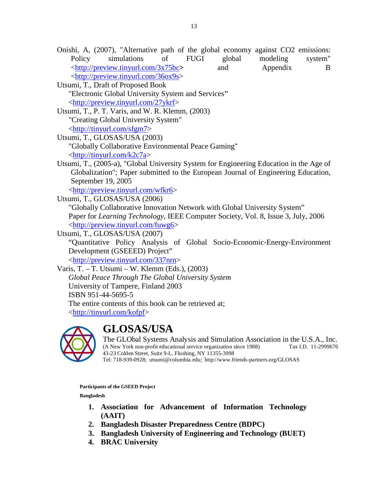- Onishi, A, (2007), ["Alternative path of the global economy against CO2 emissions:](http://www.friends-partners.org/GLOSAS/Global_University/Global%20University%20System/List%20Distributions/2007/MTI1843_08-02-07/JPM2007%20copy.pdf)  [Policy simulations of FUGI global modeling system"](http://www.friends-partners.org/GLOSAS/Global_University/Global%20University%20System/List%20Distributions/2007/MTI1843_08-02-07/JPM2007%20copy.pdf) [<http://preview.tinyurl.com/3x75bc](http://preview.tinyurl.com/3x75bc)**>** and [Appendix B](http://preview.tinyurl.com/36ox9s) [<http://preview.tinyurl.com/36ox9s>](http://preview.tinyurl.com/36ox9s)
- Utsumi, T., Draft of Proposed Book "Electronic Global University System and Services**"** [<http://preview.tinyurl.com/27ykrf>](http://preview.tinyurl.com/27ykrf)
- <span id="page-12-1"></span>Utsumi, T., P. T. Varis, and W. R. Klemm, (2003) "Creating Global University System" [<http://tinyurl.com/sfgm7>](http://tinyurl.com/sfgm7)
- <span id="page-12-0"></span>Utsumi, T., GLOSAS/USA (2003) "Globally Collaborative Environmental Peace Gaming" [<http://tinyurl.com/k2c7a>](http://tinyurl.com/k2c7a)
- <span id="page-12-3"></span>Utsumi, T., (2005-a), ["Global University System for Engineering Education in the Age of](http://www.friends-partners.org/GLOSAS/Peace%20Gaming/Paper%20for%20European%20Jr.%20of%20Eng%20Education/GUS+EEAG_D1.htm)  [Globalization"](http://www.friends-partners.org/GLOSAS/Peace%20Gaming/Paper%20for%20European%20Jr.%20of%20Eng%20Education/GUS+EEAG_D1.htm); Paper submitted to the European Journal of Engineering Education, September 19, 2005

[<http://preview.tinyurl.com/wfkr6>](http://preview.tinyurl.com/wfkr6)

<span id="page-12-4"></span>Utsumi, T., GLOSAS/USA (2006)

["Globally Collaborative Innovation Network with Global University System"](http://www.friends-partners.org/GLOSAS/Global_University/Global%20University%20System/List%20Distributions/2006/MTI1760_07-11-06/Paper%20for%20IEEE_07-13-06_v2.html) Paper for *Learning Technology*, IEEE Computer Society, Vol. 8, Issue 3, July, 2006 [<http://preview.tinyurl.com/fuwg6>](http://preview.tinyurl.com/fuwg6)

Utsumi, T., GLOSAS/USA (2007)

"Quantitative Policy Analysis of Global Socio-Economic-Energy-Environment Development (GSEEED) Project"

[<http://preview.tinyurl.com/337nrn>](http://preview.tinyurl.com/337nrn)

<span id="page-12-2"></span>Varis, T. – T. Utsumi – W. Klemm (Eds.), (2003) *Global Peace Through The Global University System* University of Tampere, Finland 2003 ISBN 951-44-5695-5 The entire contents of this book can be retrieved at; [<http://tinyurl.com/kofpf>](http://tinyurl.com/kofpf)



# **GLOSAS/USA**

The GLObal Systems Analysis and Simulation Association in the U.S.A., Inc.<br>(A New York non-profit educational service organization since 1988) Tax LD. 11-2999676 (A New York non-profit educational service organization since 1988) 43-23 Colden Street, Suite 9-L, Flushing, NY 11355-3998

Tel: 718-939-0928; utsumi@columbia.edu; http://www.friends-partners.org/GLOSAS

**Participants of the GSEED Project**

**Bangladesh**

- **1. Association for Advancement of Information Technology (AAIT)**
- **2. Bangladesh Disaster Preparedness Centre (BDPC)**
- **3. Bangladesh University of Engineering and Technology (BUET)**
- **4. BRAC University**